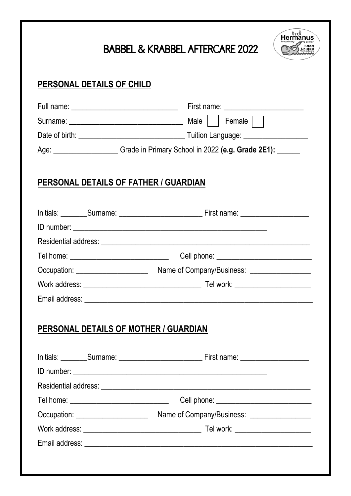# BABBEL & KRABBEL AFTERCARE 2022



|                                       | Age: ______________________Grade in Primary School in 2022 (e.g. Grade 2E1): ______ |  |
|---------------------------------------|-------------------------------------------------------------------------------------|--|
| PERSONAL DETAILS OF FATHER / GUARDIAN |                                                                                     |  |
|                                       |                                                                                     |  |
|                                       |                                                                                     |  |
|                                       |                                                                                     |  |
|                                       |                                                                                     |  |
|                                       |                                                                                     |  |
|                                       |                                                                                     |  |
|                                       |                                                                                     |  |
| PERSONAL DETAILS OF MOTHER / GUARDIAN |                                                                                     |  |
|                                       |                                                                                     |  |
|                                       |                                                                                     |  |
|                                       |                                                                                     |  |
|                                       |                                                                                     |  |
|                                       |                                                                                     |  |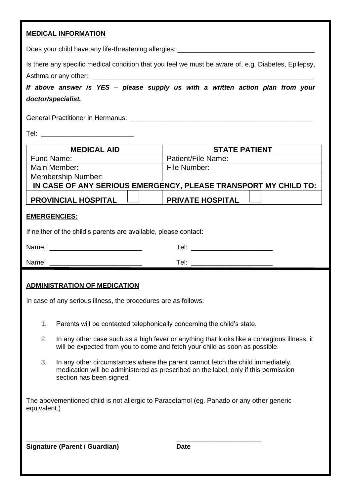## **MEDICAL INFORMATION**

| Does your child have any life-threatening allergies: |  |
|------------------------------------------------------|--|
|                                                      |  |

Is there any specific medical condition that you feel we must be aware of, e.g. Diabetes, Epilepsy, Asthma or any other:

*If above answer is YES – please supply us with a written action plan from your doctor/specialist.*

General Practitioner in Hermanus:

Tel: \_\_\_\_\_\_\_\_\_\_\_\_\_\_\_\_\_\_\_\_\_\_\_\_\_

| <b>MEDICAL AID</b>                                              | <b>STATE PATIENT</b>    |  |  |  |
|-----------------------------------------------------------------|-------------------------|--|--|--|
| Fund Name:                                                      | Patient/File Name:      |  |  |  |
| Main Member:                                                    | File Number:            |  |  |  |
| Membership Number:                                              |                         |  |  |  |
| IN CASE OF ANY SERIOUS EMERGENCY, PLEASE TRANSPORT MY CHILD TO: |                         |  |  |  |
| <b>PROVINCIAL HOSPITAL</b>                                      | <b>PRIVATE HOSPITAL</b> |  |  |  |

#### **EMERGENCIES:**

If neither of the child's parents are available, please contact:

| Name: | Tel: |
|-------|------|
| Name: | ГеI: |

#### **ADMINISTRATION OF MEDICATION**

In case of any serious illness, the procedures are as follows:

- 1. Parents will be contacted telephonically concerning the child's state.
- 2. In any other case such as a high fever or anything that looks like a contagious illness, it will be expected from you to come and fetch your child as soon as possible.
- 3. In any other circumstances where the parent cannot fetch the child immediately, medication will be administered as prescribed on the label, only if this permission section has been signed.

The abovementioned child is not allergic to Paracetamol (eg. Panado or any other generic equivalent.)

**\_\_\_\_\_\_\_\_\_\_\_\_\_\_\_\_\_\_\_\_\_\_\_\_\_ \_\_\_\_\_\_\_\_\_\_\_\_\_\_\_\_\_\_\_\_\_\_\_ Signature (Parent / Guardian) Date**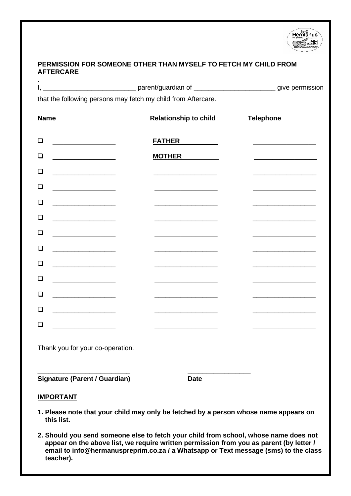

### **PERMISSION FOR SOMEONE OTHER THAN MYSELF TO FETCH MY CHILD FROM AFTERCARE**

|                                                                                                                                                                                                                                           |                                                                            | I, _________________________________parent/guardian of __________________________give permission |  |  |
|-------------------------------------------------------------------------------------------------------------------------------------------------------------------------------------------------------------------------------------------|----------------------------------------------------------------------------|--------------------------------------------------------------------------------------------------|--|--|
|                                                                                                                                                                                                                                           | that the following persons may fetch my child from Aftercare.              |                                                                                                  |  |  |
| <b>Name</b>                                                                                                                                                                                                                               | <b>Relationship to child</b>                                               | <b>Telephone</b>                                                                                 |  |  |
| ◻<br>the control of the control of the control of                                                                                                                                                                                         | <b>FATHER</b>                                                              |                                                                                                  |  |  |
| □                                                                                                                                                                                                                                         | <b>MOTHER</b>                                                              |                                                                                                  |  |  |
| □<br>the control of the control of the                                                                                                                                                                                                    |                                                                            |                                                                                                  |  |  |
| ◻                                                                                                                                                                                                                                         |                                                                            |                                                                                                  |  |  |
| □<br><u> De Carlos de Carlos de Carlos de Carlos de Carlos de Carlos de Carlos de Carlos de Carlos de Carlos de Carlos de Carlos de Carlos de Carlos de Carlos de Carlos de Carlos de Carlos de Carlos de Carlos de Carlos de Carlos </u> | the control of the control of the control of the control of the control of |                                                                                                  |  |  |
| ❏<br><u> 1989 - Johann John Harry Harry Harry Harry Harry Harry Harry Harry Harry Harry Harry Harry Harry Harry Harry Harry Harry Harry Harry Harry Harry Harry Harry Harry Harry Harry Harry Harry Harry Harry Harry Harry Harry Har</u> |                                                                            |                                                                                                  |  |  |
| ◻<br><u> 1989 - Johann John Harry Harry Harry Harry Harry Harry Harry Harry Harry Harry Harry Harry Harry Harry Harry Harry Harry Harry Harry Harry Harry Harry Harry Harry Harry Harry Harry Harry Harry Harry Harry Harry Harry Har</u> |                                                                            |                                                                                                  |  |  |
| □<br>the control of the control of the                                                                                                                                                                                                    |                                                                            |                                                                                                  |  |  |
| □                                                                                                                                                                                                                                         |                                                                            |                                                                                                  |  |  |
| ❏<br>the control of the control of the                                                                                                                                                                                                    |                                                                            |                                                                                                  |  |  |
| □<br>the company of the company of                                                                                                                                                                                                        |                                                                            |                                                                                                  |  |  |
| ◻<br><u> 1990 - Johann Barbara, martin a</u>                                                                                                                                                                                              |                                                                            |                                                                                                  |  |  |
| □                                                                                                                                                                                                                                         |                                                                            |                                                                                                  |  |  |
| Thank you for your co-operation.                                                                                                                                                                                                          |                                                                            |                                                                                                  |  |  |
| Signature (Parent / Guardian)                                                                                                                                                                                                             | Date                                                                       |                                                                                                  |  |  |
| <b>IMPORTANT</b>                                                                                                                                                                                                                          |                                                                            |                                                                                                  |  |  |
| 1. Please note that your child may only be fetched by a person whose name appears on                                                                                                                                                      |                                                                            |                                                                                                  |  |  |

 **this list. 2. Should you send someone else to fetch your child from school, whose name does not appear on the above list, we require written permission from you as parent (by letter / email to info@hermanuspreprim.co.za / a Whatsapp or Text message (sms) to the class** 

 **teacher).**